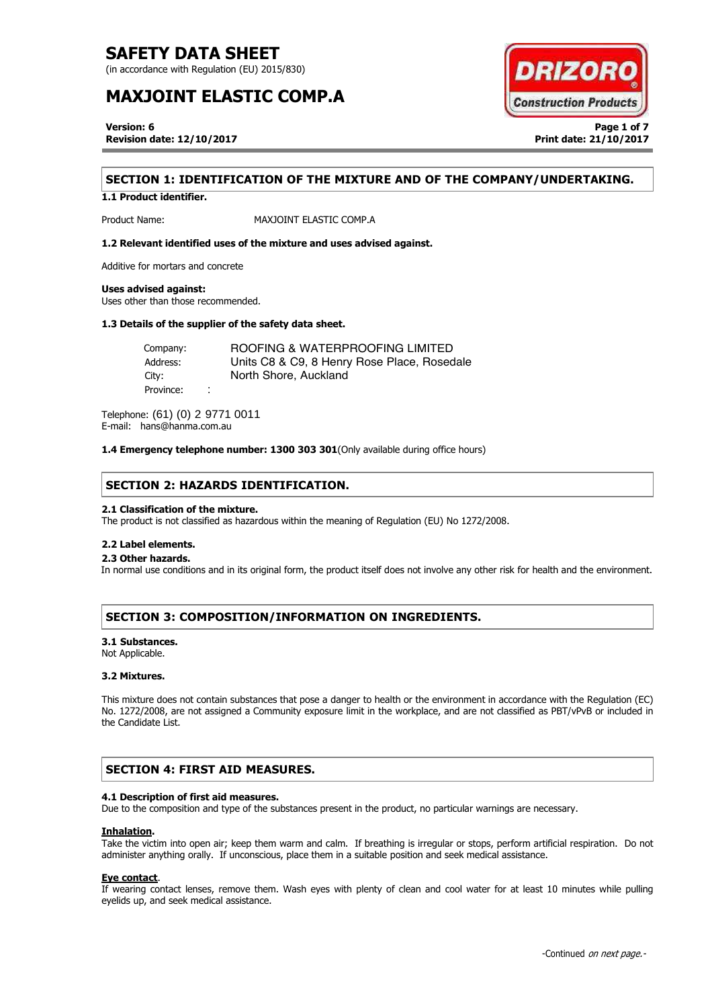(in accordance with Regulation (EU) 2015/830)

# **MAXJOINT ELASTIC COMP.A**



**Version: 6 Page 1 of 7 Revision date: 12/10/2017 Print date: 21/10/2017** 

# **SECTION 1: IDENTIFICATION OF THE MIXTURE AND OF THE COMPANY/UNDERTAKING.**

**1.1 Product identifier.** 

Product Name: MAXJOINT ELASTIC COMP.A

## **1.2 Relevant identified uses of the mixture and uses advised against.**

Additive for mortars and concrete

#### **Uses advised against:**

Uses other than those recommended.

### **1.3 Details of the supplier of the safety data sheet.**

Company: Address: City: Province: ROOFING & WATERPROOFING LIMITED Units C8 & C9, 8 Henry Rose Place, Rosedale North Shore, Auckland

Telephone: (61) (0) 2 9771 0011 E-mail: hans@hanma.com.au

**1.4 Emergency telephone number: 1300 303 301**(Only available during office hours)

# **SECTION 2: HAZARDS IDENTIFICATION.**

### **2.1 Classification of the mixture.**

The product is not classified as hazardous within the meaning of Regulation (EU) No 1272/2008.

## **2.2 Label elements.**

## . **2.3 Other hazards.**

In normal use conditions and in its original form, the product itself does not involve any other risk for health and the environment.

# **SECTION 3: COMPOSITION/INFORMATION ON INGREDIENTS.**

### **3.1 Substances.**

Not Applicable.

## **3.2 Mixtures.**

This mixture does not contain substances that pose a danger to health or the environment in accordance with the Regulation (EC) No. 1272/2008, are not assigned a Community exposure limit in the workplace, and are not classified as PBT/vPvB or included in the Candidate List.

# **SECTION 4: FIRST AID MEASURES.**

# **4.1 Description of first aid measures.**

Due to the composition and type of the substances present in the product, no particular warnings are necessary.

### **Inhalation.**

Take the victim into open air; keep them warm and calm. If breathing is irregular or stops, perform artificial respiration. Do not administer anything orally. If unconscious, place them in a suitable position and seek medical assistance.

### **Eye contact**.

If wearing contact lenses, remove them. Wash eyes with plenty of clean and cool water for at least 10 minutes while pulling eyelids up, and seek medical assistance.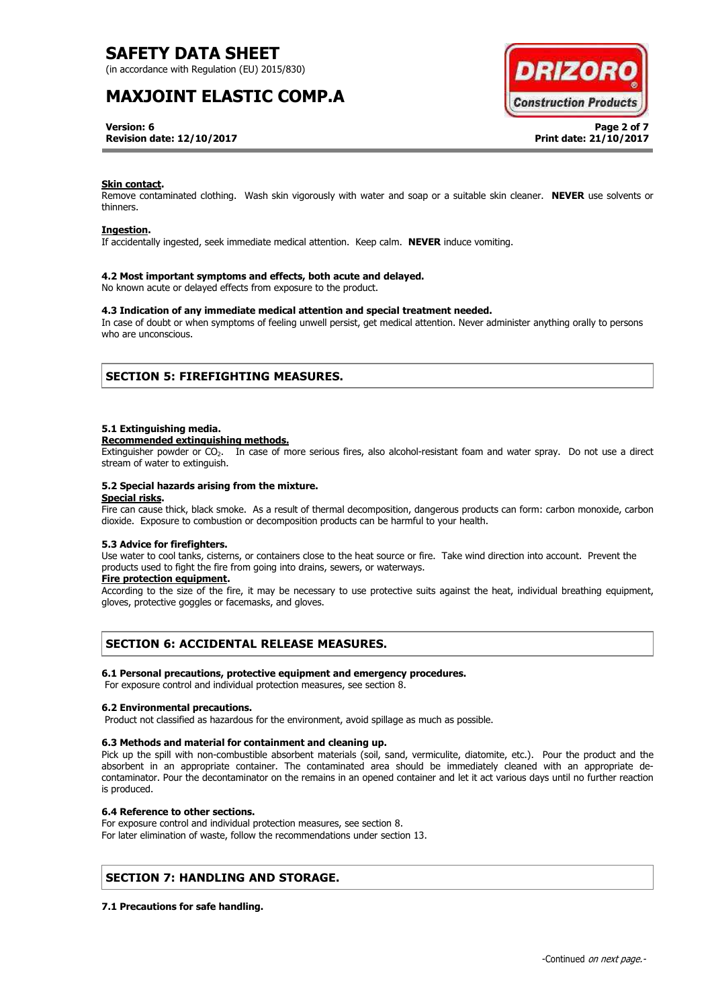(in accordance with Regulation (EU) 2015/830)

# **MAXJOINT ELASTIC COMP.A**



**Version: 6 Page 2 of 7 Revision date: 12/10/2017 Print date: 21/10/2017**

## **Skin contact.**

Remove contaminated clothing. Wash skin vigorously with water and soap or a suitable skin cleaner. **NEVER** use solvents or thinners.

### **Ingestion.**

If accidentally ingested, seek immediate medical attention. Keep calm. **NEVER** induce vomiting.

### **4.2 Most important symptoms and effects, both acute and delayed.**

No known acute or delayed effects from exposure to the product.

## **4.3 Indication of any immediate medical attention and special treatment needed.**

In case of doubt or when symptoms of feeling unwell persist, get medical attention. Never administer anything orally to persons who are unconscious.

# **SECTION 5: FIREFIGHTING MEASURES.**

### **5.1 Extinguishing media.**

#### **Recommended extinguishing methods.**

Extinguisher powder or CO2. In case of more serious fires, also alcohol-resistant foam and water spray. Do not use a direct stream of water to extinguish.

### **5.2 Special hazards arising from the mixture.**

#### **Special risks.**

Fire can cause thick, black smoke. As a result of thermal decomposition, dangerous products can form: carbon monoxide, carbon dioxide. Exposure to combustion or decomposition products can be harmful to your health.

### **5.3 Advice for firefighters.**

Use water to cool tanks, cisterns, or containers close to the heat source or fire. Take wind direction into account. Prevent the products used to fight the fire from going into drains, sewers, or waterways.

### **Fire protection equipment.**

According to the size of the fire, it may be necessary to use protective suits against the heat, individual breathing equipment, gloves, protective goggles or facemasks, and gloves.

# **SECTION 6: ACCIDENTAL RELEASE MEASURES.**

### **6.1 Personal precautions, protective equipment and emergency procedures.**

For exposure control and individual protection measures, see section 8.

### **6.2 Environmental precautions.**

Product not classified as hazardous for the environment, avoid spillage as much as possible.

### **6.3 Methods and material for containment and cleaning up.**

Pick up the spill with non-combustible absorbent materials (soil, sand, vermiculite, diatomite, etc.). Pour the product and the absorbent in an appropriate container. The contaminated area should be immediately cleaned with an appropriate decontaminator. Pour the decontaminator on the remains in an opened container and let it act various days until no further reaction is produced.

### **6.4 Reference to other sections.**

For exposure control and individual protection measures, see section 8. For later elimination of waste, follow the recommendations under section 13.

# **SECTION 7: HANDLING AND STORAGE.**

# **7.1 Precautions for safe handling.**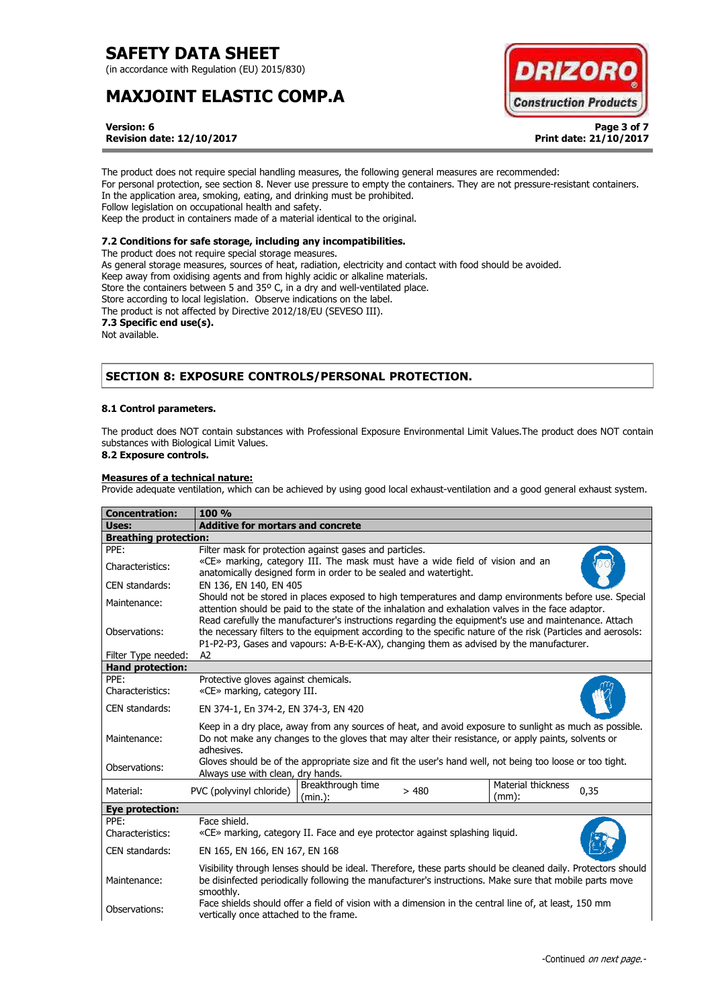(in accordance with Regulation (EU) 2015/830)

# **MAXJOINT ELASTIC COMP.A**



**Version: 6 Page 3 of 7 Revision date: 12/10/2017 Print date: 21/10/2017**

The product does not require special handling measures, the following general measures are recommended: For personal protection, see section 8. Never use pressure to empty the containers. They are not pressure-resistant containers. In the application area, smoking, eating, and drinking must be prohibited. Follow legislation on occupational health and safety. Keep the product in containers made of a material identical to the original.

# **7.2 Conditions for safe storage, including any incompatibilities.**

The product does not require special storage measures. As general storage measures, sources of heat, radiation, electricity and contact with food should be avoided. Keep away from oxidising agents and from highly acidic or alkaline materials. Store the containers between 5 and 35º C, in a dry and well-ventilated place. Store according to local legislation. Observe indications on the label. The product is not affected by Directive 2012/18/EU (SEVESO III). **7.3 Specific end use(s).** Not available.

# **SECTION 8: EXPOSURE CONTROLS/PERSONAL PROTECTION.**

## **8.1 Control parameters.**

The product does NOT contain substances with Professional Exposure Environmental Limit Values.The product does NOT contain substances with Biological Limit Values.

# **8.2 Exposure controls.**

## **Measures of a technical nature:**

Provide adequate ventilation, which can be achieved by using good local exhaust-ventilation and a good general exhaust system.

| <b>Concentration:</b>           | 100%                                                                                                                                                                                                                                                                                                                |  |
|---------------------------------|---------------------------------------------------------------------------------------------------------------------------------------------------------------------------------------------------------------------------------------------------------------------------------------------------------------------|--|
| Uses:                           | <b>Additive for mortars and concrete</b>                                                                                                                                                                                                                                                                            |  |
| <b>Breathing protection:</b>    |                                                                                                                                                                                                                                                                                                                     |  |
| PPE:                            | Filter mask for protection against gases and particles.                                                                                                                                                                                                                                                             |  |
| Characteristics:                | «CE» marking, category III. The mask must have a wide field of vision and an<br>anatomically designed form in order to be sealed and watertight.                                                                                                                                                                    |  |
| <b>CEN standards:</b>           | EN 136, EN 140, EN 405                                                                                                                                                                                                                                                                                              |  |
| Maintenance:                    | Should not be stored in places exposed to high temperatures and damp environments before use. Special<br>attention should be paid to the state of the inhalation and exhalation valves in the face adaptor.<br>Read carefully the manufacturer's instructions regarding the equipment's use and maintenance. Attach |  |
| Observations:                   | the necessary filters to the equipment according to the specific nature of the risk (Particles and aerosols:<br>P1-P2-P3, Gases and vapours: A-B-E-K-AX), changing them as advised by the manufacturer.                                                                                                             |  |
| Filter Type needed:             | A <sub>2</sub>                                                                                                                                                                                                                                                                                                      |  |
| <b>Hand protection:</b><br>PPE: |                                                                                                                                                                                                                                                                                                                     |  |
| Characteristics:                | Protective gloves against chemicals.<br>«CE» marking, category III.                                                                                                                                                                                                                                                 |  |
|                                 |                                                                                                                                                                                                                                                                                                                     |  |
| CEN standards:                  | EN 374-1, En 374-2, EN 374-3, EN 420                                                                                                                                                                                                                                                                                |  |
| Maintenance:                    | Keep in a dry place, away from any sources of heat, and avoid exposure to sunlight as much as possible.<br>Do not make any changes to the gloves that may alter their resistance, or apply paints, solvents or<br>adhesives.                                                                                        |  |
| Observations:                   | Gloves should be of the appropriate size and fit the user's hand well, not being too loose or too tight.<br>Always use with clean, dry hands.                                                                                                                                                                       |  |
| Material:                       | Material thickness<br>Breakthrough time<br>PVC (polyvinyl chloride)<br>0,35<br>>480<br>$(mm)$ :<br>(min.):                                                                                                                                                                                                          |  |
| <b>Eye protection:</b>          |                                                                                                                                                                                                                                                                                                                     |  |
| PPF:                            | Face shield.                                                                                                                                                                                                                                                                                                        |  |
| Characteristics:                | «CE» marking, category II. Face and eye protector against splashing liquid.                                                                                                                                                                                                                                         |  |
| CEN standards:                  | EN 165, EN 166, EN 167, EN 168                                                                                                                                                                                                                                                                                      |  |
| Maintenance:                    | Visibility through lenses should be ideal. Therefore, these parts should be cleaned daily. Protectors should<br>be disinfected periodically following the manufacturer's instructions. Make sure that mobile parts move<br>smoothly.                                                                                |  |
| Observations:                   | Face shields should offer a field of vision with a dimension in the central line of, at least, 150 mm<br>vertically once attached to the frame.                                                                                                                                                                     |  |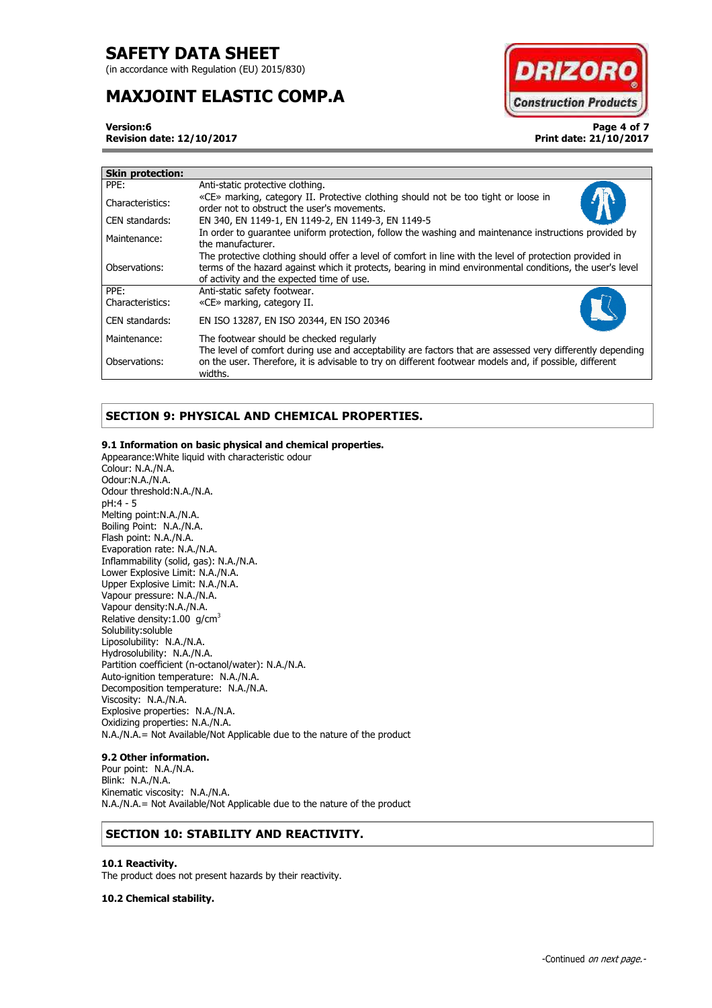(in accordance with Regulation (EU) 2015/830)

# **MAXJOINT ELASTIC COMP.A**



**Version:6 Page 4 of 7 Revision date: 12/10/2017 Print date: 21/10/2017**

| <b>Skin protection:</b> |                                                                                                                                                                                                                                                                    |
|-------------------------|--------------------------------------------------------------------------------------------------------------------------------------------------------------------------------------------------------------------------------------------------------------------|
| PPE:                    | Anti-static protective clothing.                                                                                                                                                                                                                                   |
| Characteristics:        | «CE» marking, category II. Protective clothing should not be too tight or loose in<br>order not to obstruct the user's movements.                                                                                                                                  |
| CEN standards:          | EN 340, EN 1149-1, EN 1149-2, EN 1149-3, EN 1149-5                                                                                                                                                                                                                 |
| Maintenance:            | In order to quarantee uniform protection, follow the washing and maintenance instructions provided by<br>the manufacturer.                                                                                                                                         |
| Observations:           | The protective clothing should offer a level of comfort in line with the level of protection provided in<br>terms of the hazard against which it protects, bearing in mind environmental conditions, the user's level<br>of activity and the expected time of use. |
| PPF:                    | Anti-static safety footwear.                                                                                                                                                                                                                                       |
| Characteristics:        | «CE» marking, category II.                                                                                                                                                                                                                                         |
| CEN standards:          | EN ISO 13287, EN ISO 20344, EN ISO 20346                                                                                                                                                                                                                           |
| Maintenance:            | The footwear should be checked regularly                                                                                                                                                                                                                           |
| Observations:           | The level of comfort during use and acceptability are factors that are assessed very differently depending<br>on the user. Therefore, it is advisable to try on different footwear models and, if possible, different<br>widths.                                   |

# **SECTION 9: PHYSICAL AND CHEMICAL PROPERTIES.**

## **9.1 Information on basic physical and chemical properties.**

Appearance:White liquid with characteristic odour Colour: N.A./N.A. Odour:N.A./N.A. Odour threshold:N.A./N.A. pH:4 - 5 Melting point:N.A./N.A. Boiling Point: N.A./N.A. Flash point: N.A./N.A. Evaporation rate: N.A./N.A. Inflammability (solid, gas): N.A./N.A. Lower Explosive Limit: N.A./N.A. Upper Explosive Limit: N.A./N.A. Vapour pressure: N.A./N.A. Vapour density:N.A./N.A. Relative density:1.00 g/cm<sup>3</sup> Solubility:soluble Liposolubility: N.A./N.A. Hydrosolubility: N.A./N.A. Partition coefficient (n-octanol/water): N.A./N.A. Auto-ignition temperature: N.A./N.A. Decomposition temperature: N.A./N.A. Viscosity: N.A./N.A. Explosive properties: N.A./N.A. Oxidizing properties: N.A./N.A. N.A./N.A.= Not Available/Not Applicable due to the nature of the product

# **9.2 Other information.**

Pour point: N.A./N.A. Blink: N.A./N.A. Kinematic viscosity: N.A./N.A. N.A./N.A.= Not Available/Not Applicable due to the nature of the product

# **SECTION 10: STABILITY AND REACTIVITY.**

## **10.1 Reactivity.**

The product does not present hazards by their reactivity.

**10.2 Chemical stability.**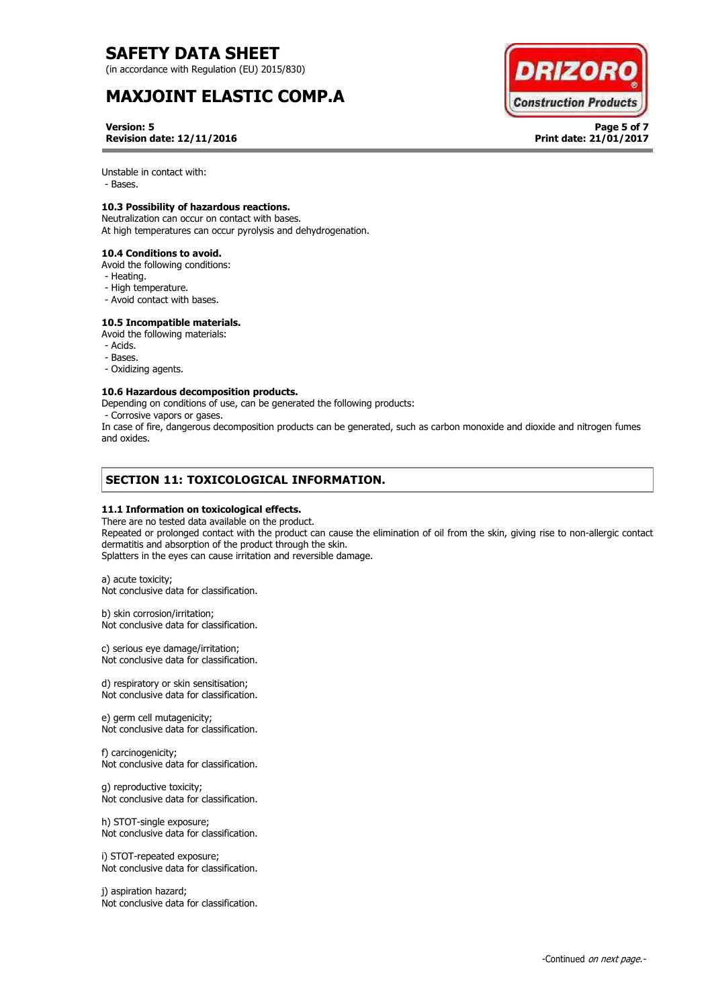(in accordance with Regulation (EU) 2015/830)

# **MAXJOINT ELASTIC COMP.A**



**Version: 5 Page 5 of 7 Revision date: 12/11/2016 Print date: 21/01/2017**

Unstable in contact with:

- Bases.

# **10.3 Possibility of hazardous reactions.**

Neutralization can occur on contact with bases. At high temperatures can occur pyrolysis and dehydrogenation.

**10.4 Conditions to avoid.** 

- Avoid the following conditions:
- Heating.
- High temperature.
- Avoid contact with bases.

# **10.5 Incompatible materials.**

Avoid the following materials:

- Acids.
- Bases.
- Oxidizing agents.

## **10.6 Hazardous decomposition products.**

Depending on conditions of use, can be generated the following products:

- Corrosive vapors or gases.

In case of fire, dangerous decomposition products can be generated, such as carbon monoxide and dioxide and nitrogen fumes and oxides.

# **SECTION 11: TOXICOLOGICAL INFORMATION.**

### **11.1 Information on toxicological effects.**

There are no tested data available on the product. Repeated or prolonged contact with the product can cause the elimination of oil from the skin, giving rise to non-allergic contact dermatitis and absorption of the product through the skin. Splatters in the eyes can cause irritation and reversible damage.

a) acute toxicity; Not conclusive data for classification.

b) skin corrosion/irritation; Not conclusive data for classification.

c) serious eye damage/irritation; Not conclusive data for classification.

d) respiratory or skin sensitisation; Not conclusive data for classification.

e) germ cell mutagenicity; Not conclusive data for classification.

f) carcinogenicity; Not conclusive data for classification.

g) reproductive toxicity; Not conclusive data for classification.

h) STOT-single exposure; Not conclusive data for classification.

i) STOT-repeated exposure; Not conclusive data for classification.

j) aspiration hazard; Not conclusive data for classification.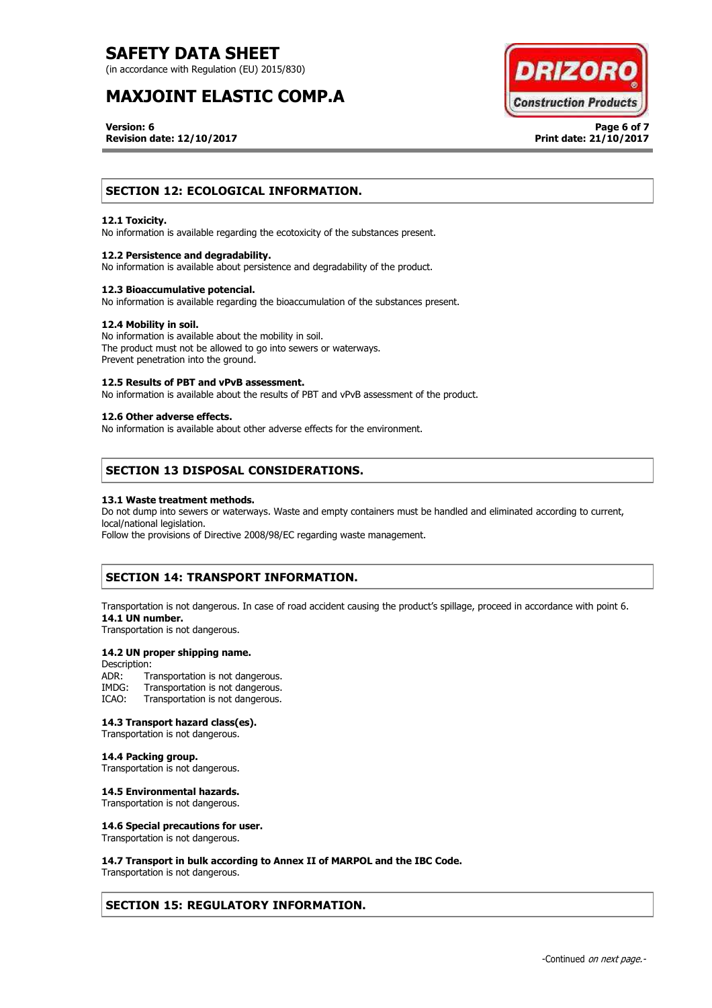(in accordance with Regulation (EU) 2015/830)

# **MAXJOINT ELASTIC COMP.A**



**Version: 6 Page 6 of 7 Revision date: 12/10/2017 Print date: 21/10/2017**

# **SECTION 12: ECOLOGICAL INFORMATION.**

#### **12.1 Toxicity.**

No information is available regarding the ecotoxicity of the substances present.

#### **12.2 Persistence and degradability.**

No information is available about persistence and degradability of the product.

#### **12.3 Bioaccumulative potencial.**

No information is available regarding the bioaccumulation of the substances present.

#### **12.4 Mobility in soil.**

No information is available about the mobility in soil. The product must not be allowed to go into sewers or waterways. Prevent penetration into the ground.

#### **12.5 Results of PBT and vPvB assessment.**

No information is available about the results of PBT and vPvB assessment of the product.

# **12.6 Other adverse effects.**

No information is available about other adverse effects for the environment.

# **SECTION 13 DISPOSAL CONSIDERATIONS.**

#### **13.1 Waste treatment methods.**

Do not dump into sewers or waterways. Waste and empty containers must be handled and eliminated according to current, local/national legislation.

Follow the provisions of Directive 2008/98/EC regarding waste management.

# **SECTION 14: TRANSPORT INFORMATION.**

Transportation is not dangerous. In case of road accident causing the product's spillage, proceed in accordance with point 6. **14.1 UN number.**

Transportation is not dangerous.

## **14.2 UN proper shipping name.**

Description:<br>ADR: Tr ADR: Transportation is not dangerous.<br>IMDG: Transportation is not dangerous. IMDG: Transportation is not dangerous.<br>ICAO: Transportation is not dangerous. Transportation is not dangerous.

#### **14.3 Transport hazard class(es).**

Transportation is not dangerous.

#### **14.4 Packing group.**

Transportation is not dangerous.

## **14.5 Environmental hazards.**

Transportation is not dangerous.

#### **14.6 Special precautions for user.**

Transportation is not dangerous.

### **14.7 Transport in bulk according to Annex II of MARPOL and the IBC Code.**

Transportation is not dangerous.

# **SECTION 15: REGULATORY INFORMATION.**